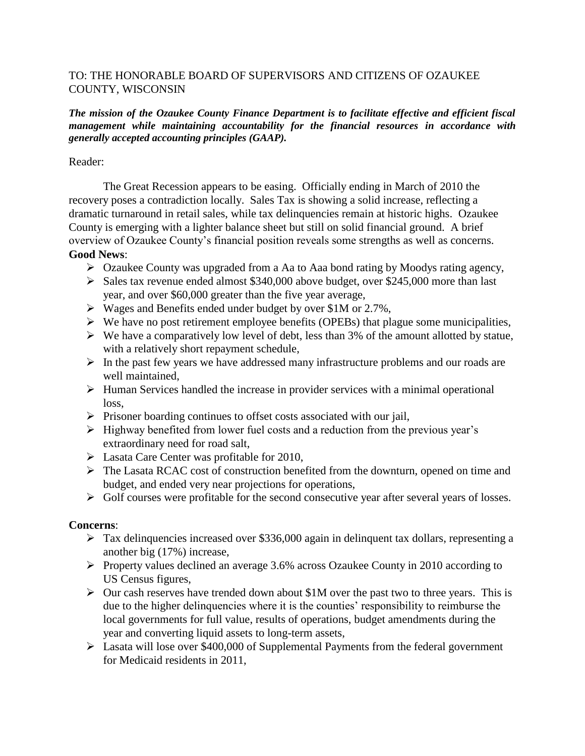# TO: THE HONORABLE BOARD OF SUPERVISORS AND CITIZENS OF OZAUKEE COUNTY, WISCONSIN

### *The mission of the Ozaukee County Finance Department is to facilitate effective and efficient fiscal management while maintaining accountability for the financial resources in accordance with generally accepted accounting principles (GAAP).*

### Reader:

The Great Recession appears to be easing. Officially ending in March of 2010 the recovery poses a contradiction locally. Sales Tax is showing a solid increase, reflecting a dramatic turnaround in retail sales, while tax delinquencies remain at historic highs. Ozaukee County is emerging with a lighter balance sheet but still on solid financial ground. A brief overview of Ozaukee County's financial position reveals some strengths as well as concerns. **Good News**:

- Ozaukee County was upgraded from a Aa to Aaa bond rating by Moodys rating agency,
- $\triangleright$  Sales tax revenue ended almost \$340,000 above budget, over \$245,000 more than last year, and over \$60,000 greater than the five year average,
- Wages and Benefits ended under budget by over \$1M or 2.7%,
- $\triangleright$  We have no post retirement employee benefits (OPEBs) that plague some municipalities,
- $\triangleright$  We have a comparatively low level of debt, less than 3% of the amount allotted by statue, with a relatively short repayment schedule,
- $\triangleright$  In the past few years we have addressed many infrastructure problems and our roads are well maintained,
- $\triangleright$  Human Services handled the increase in provider services with a minimal operational loss,
- $\triangleright$  Prisoner boarding continues to offset costs associated with our jail,
- $\triangleright$  Highway benefited from lower fuel costs and a reduction from the previous year's extraordinary need for road salt,
- $\triangleright$  Lasata Care Center was profitable for 2010,
- The Lasata RCAC cost of construction benefited from the downturn, opened on time and budget, and ended very near projections for operations,
- $\triangleright$  Golf courses were profitable for the second consecutive year after several years of losses.

# **Concerns**:

- Tax delinquencies increased over \$336,000 again in delinquent tax dollars, representing a another big (17%) increase,
- Property values declined an average 3.6% across Ozaukee County in 2010 according to US Census figures,
- $\triangleright$  Our cash reserves have trended down about \$1M over the past two to three years. This is due to the higher delinquencies where it is the counties' responsibility to reimburse the local governments for full value, results of operations, budget amendments during the year and converting liquid assets to long-term assets,
- Lasata will lose over \$400,000 of Supplemental Payments from the federal government for Medicaid residents in 2011,